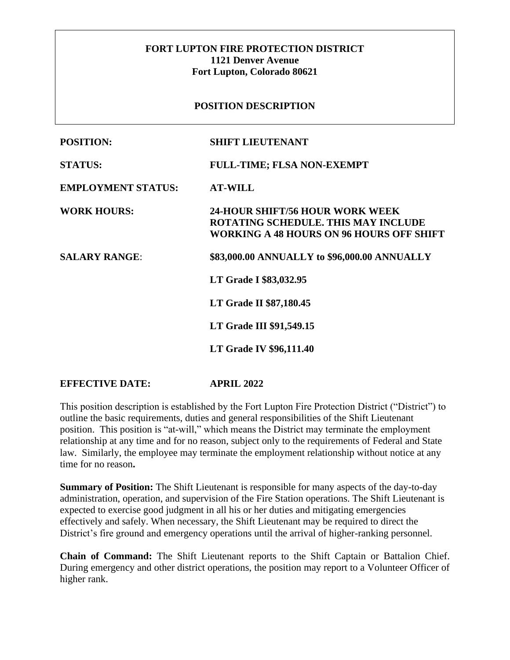## **FORT LUPTON FIRE PROTECTION DISTRICT 1121 Denver Avenue Fort Lupton, Colorado 80621**

### **POSITION DESCRIPTION**

| <b>POSITION:</b>          | <b>SHIFT LIEUTENANT</b>                                                                                                          |
|---------------------------|----------------------------------------------------------------------------------------------------------------------------------|
| <b>STATUS:</b>            | <b>FULL-TIME; FLSA NON-EXEMPT</b>                                                                                                |
| <b>EMPLOYMENT STATUS:</b> | <b>AT-WILL</b>                                                                                                                   |
| <b>WORK HOURS:</b>        | 24-HOUR SHIFT/56 HOUR WORK WEEK<br><b>ROTATING SCHEDULE. THIS MAY INCLUDE</b><br><b>WORKING A 48 HOURS ON 96 HOURS OFF SHIFT</b> |
| <b>SALARY RANGE:</b>      | \$83,000.00 ANNUALLY to \$96,000.00 ANNUALLY                                                                                     |
|                           | LT Grade I \$83,032.95                                                                                                           |
|                           | <b>LT Grade II \$87,180.45</b>                                                                                                   |
|                           | <b>LT Grade III \$91,549.15</b>                                                                                                  |
|                           | <b>LT Grade IV \$96,111.40</b>                                                                                                   |
|                           |                                                                                                                                  |

### **EFFECTIVE DATE: APRIL 2022**

This position description is established by the Fort Lupton Fire Protection District ("District") to outline the basic requirements, duties and general responsibilities of the Shift Lieutenant position. This position is "at-will," which means the District may terminate the employment relationship at any time and for no reason, subject only to the requirements of Federal and State law. Similarly, the employee may terminate the employment relationship without notice at any time for no reason**.** 

**Summary of Position:** The Shift Lieutenant is responsible for many aspects of the day-to-day administration, operation, and supervision of the Fire Station operations. The Shift Lieutenant is expected to exercise good judgment in all his or her duties and mitigating emergencies effectively and safely. When necessary, the Shift Lieutenant may be required to direct the District's fire ground and emergency operations until the arrival of higher-ranking personnel.

**Chain of Command:** The Shift Lieutenant reports to the Shift Captain or Battalion Chief. During emergency and other district operations, the position may report to a Volunteer Officer of higher rank.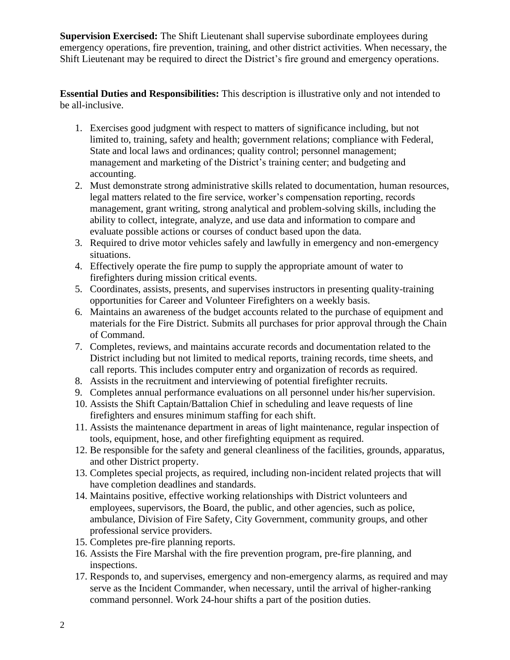**Supervision Exercised:** The Shift Lieutenant shall supervise subordinate employees during emergency operations, fire prevention, training, and other district activities. When necessary, the Shift Lieutenant may be required to direct the District's fire ground and emergency operations.

**Essential Duties and Responsibilities:** This description is illustrative only and not intended to be all-inclusive.

- 1. Exercises good judgment with respect to matters of significance including, but not limited to, training, safety and health; government relations; compliance with Federal, State and local laws and ordinances; quality control; personnel management; management and marketing of the District's training center; and budgeting and accounting.
- 2. Must demonstrate strong administrative skills related to documentation, human resources, legal matters related to the fire service, worker's compensation reporting, records management, grant writing, strong analytical and problem-solving skills, including the ability to collect, integrate, analyze, and use data and information to compare and evaluate possible actions or courses of conduct based upon the data.
- 3. Required to drive motor vehicles safely and lawfully in emergency and non-emergency situations.
- 4. Effectively operate the fire pump to supply the appropriate amount of water to firefighters during mission critical events.
- 5. Coordinates, assists, presents, and supervises instructors in presenting quality-training opportunities for Career and Volunteer Firefighters on a weekly basis.
- 6. Maintains an awareness of the budget accounts related to the purchase of equipment and materials for the Fire District. Submits all purchases for prior approval through the Chain of Command.
- 7. Completes, reviews, and maintains accurate records and documentation related to the District including but not limited to medical reports, training records, time sheets, and call reports. This includes computer entry and organization of records as required.
- 8. Assists in the recruitment and interviewing of potential firefighter recruits.
- 9. Completes annual performance evaluations on all personnel under his/her supervision.
- 10. Assists the Shift Captain/Battalion Chief in scheduling and leave requests of line firefighters and ensures minimum staffing for each shift.
- 11. Assists the maintenance department in areas of light maintenance, regular inspection of tools, equipment, hose, and other firefighting equipment as required.
- 12. Be responsible for the safety and general cleanliness of the facilities, grounds, apparatus, and other District property.
- 13. Completes special projects, as required, including non-incident related projects that will have completion deadlines and standards.
- 14. Maintains positive, effective working relationships with District volunteers and employees, supervisors, the Board, the public, and other agencies, such as police, ambulance, Division of Fire Safety, City Government, community groups, and other professional service providers.
- 15. Completes pre-fire planning reports.
- 16. Assists the Fire Marshal with the fire prevention program, pre-fire planning, and inspections.
- 17. Responds to, and supervises, emergency and non-emergency alarms, as required and may serve as the Incident Commander, when necessary, until the arrival of higher-ranking command personnel. Work 24-hour shifts a part of the position duties.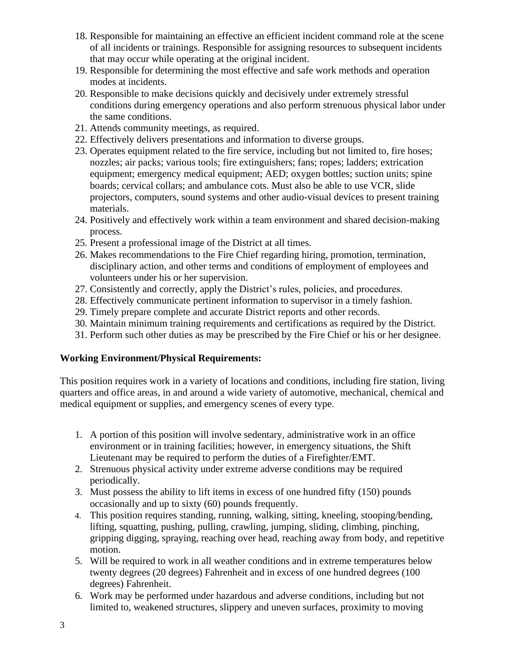- 18. Responsible for maintaining an effective an efficient incident command role at the scene of all incidents or trainings. Responsible for assigning resources to subsequent incidents that may occur while operating at the original incident.
- 19. Responsible for determining the most effective and safe work methods and operation modes at incidents.
- 20. Responsible to make decisions quickly and decisively under extremely stressful conditions during emergency operations and also perform strenuous physical labor under the same conditions.
- 21. Attends community meetings, as required.
- 22. Effectively delivers presentations and information to diverse groups.
- 23. Operates equipment related to the fire service, including but not limited to, fire hoses; nozzles; air packs; various tools; fire extinguishers; fans; ropes; ladders; extrication equipment; emergency medical equipment; AED; oxygen bottles; suction units; spine boards; cervical collars; and ambulance cots. Must also be able to use VCR, slide projectors, computers, sound systems and other audio-visual devices to present training materials.
- 24. Positively and effectively work within a team environment and shared decision-making process.
- 25. Present a professional image of the District at all times.
- 26. Makes recommendations to the Fire Chief regarding hiring, promotion, termination, disciplinary action, and other terms and conditions of employment of employees and volunteers under his or her supervision.
- 27. Consistently and correctly, apply the District's rules, policies, and procedures.
- 28. Effectively communicate pertinent information to supervisor in a timely fashion.
- 29. Timely prepare complete and accurate District reports and other records.
- 30. Maintain minimum training requirements and certifications as required by the District.
- 31. Perform such other duties as may be prescribed by the Fire Chief or his or her designee.

### **Working Environment/Physical Requirements:**

This position requires work in a variety of locations and conditions, including fire station, living quarters and office areas, in and around a wide variety of automotive, mechanical, chemical and medical equipment or supplies, and emergency scenes of every type.

- 1. A portion of this position will involve sedentary, administrative work in an office environment or in training facilities; however, in emergency situations, the Shift Lieutenant may be required to perform the duties of a Firefighter/EMT.
- 2. Strenuous physical activity under extreme adverse conditions may be required periodically.
- 3. Must possess the ability to lift items in excess of one hundred fifty (150) pounds occasionally and up to sixty (60) pounds frequently.
- 4. This position requires standing, running, walking, sitting, kneeling, stooping/bending, lifting, squatting, pushing, pulling, crawling, jumping, sliding, climbing, pinching, gripping digging, spraying, reaching over head, reaching away from body, and repetitive motion.
- 5. Will be required to work in all weather conditions and in extreme temperatures below twenty degrees (20 degrees) Fahrenheit and in excess of one hundred degrees (100 degrees) Fahrenheit.
- 6. Work may be performed under hazardous and adverse conditions, including but not limited to, weakened structures, slippery and uneven surfaces, proximity to moving